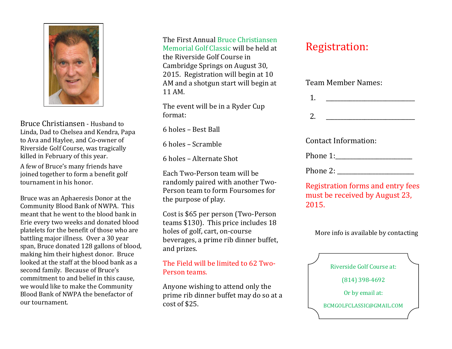

Bruce Christiansen - Husband to Linda, Dad to Chelsea and Kendra, Papa to Ava and Haylee, and Co-owner of Riverside Golf Course, was tragically killed in February of this year.

A few of Bruce's many friends have joined together to form a benefit golf tournament in his honor.

Bruce was an Aphaeresis Donor at the Community Blood Bank of NWPA. This meant that he went to the blood bank in Erie every two weeks and donated blood platelets for the benefit of those who are battling major illness. Over a 30 year span, Bruce donated 128 gallons of blood, making him their highest donor. Bruce looked at the staff at the blood bank as a second family. Because of Bruce's commitment to and belief in this cause, we would like to make the Community Blood Bank of NWPA the benefactor of our tournament.

The First Annual Bruce Christiansen Memorial Golf Classic will be held at the Riverside Golf Course in Cambridge Springs on August 30, 2015. Registration will begin at 10 AM and a shotgun start will begin at 11 AM.

The event will be in a Ryder Cup format:

6 holes – Best Ball

6 holes – Scramble

6 holes – Alternate Shot

Each Two-Person team will be randomly paired with another Two-Person team to form Foursomes for the purpose of play.

Cost is \$65 per person (Two-Person teams \$130). This price includes 18 holes of golf, cart, on-course beverages, a prime rib dinner buffet, and prizes.

#### The Field will be limited to 62 Two-Person teams.

Anyone wishing to attend only the prime rib dinner buffet may do so at a cost of \$25.

# Registration:

| Team Member Names: |  |
|--------------------|--|
|                    |  |

| . .     |  |
|---------|--|
|         |  |
| ാ<br>4. |  |

Contact Information:

| Phone 1: |
|----------|
|          |
|          |

Phone 2:

Registration forms and entry fees must be received by August 23, 2015.

More info is available by contacting